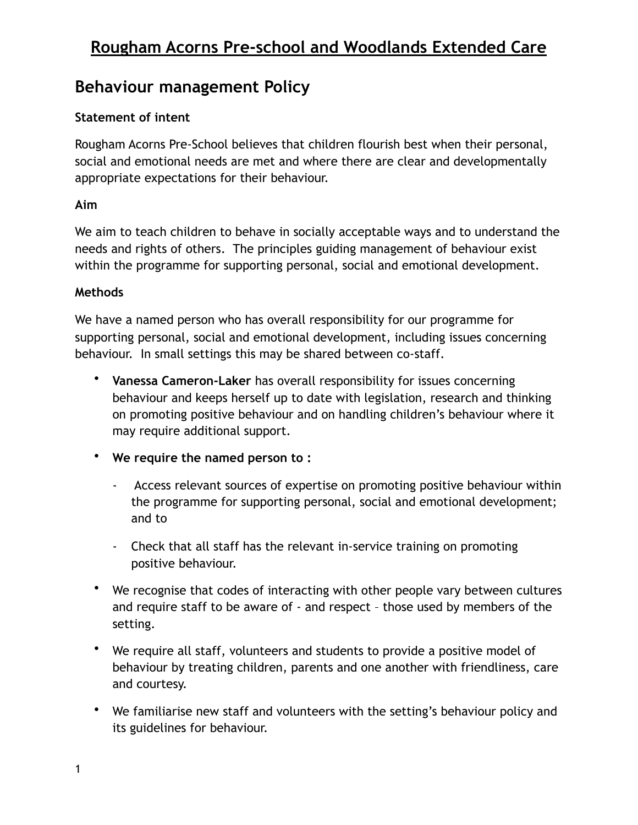## **Behaviour management Policy**

### **Statement of intent**

Rougham Acorns Pre-School believes that children flourish best when their personal, social and emotional needs are met and where there are clear and developmentally appropriate expectations for their behaviour.

### **Aim**

We aim to teach children to behave in socially acceptable ways and to understand the needs and rights of others. The principles guiding management of behaviour exist within the programme for supporting personal, social and emotional development.

### **Methods**

We have a named person who has overall responsibility for our programme for supporting personal, social and emotional development, including issues concerning behaviour. In small settings this may be shared between co-staff.

- **Vanessa Cameron-Laker** has overall responsibility for issues concerning behaviour and keeps herself up to date with legislation, research and thinking on promoting positive behaviour and on handling children's behaviour where it may require additional support.
- **We require the named person to :** 
	- Access relevant sources of expertise on promoting positive behaviour within the programme for supporting personal, social and emotional development; and to
	- Check that all staff has the relevant in-service training on promoting positive behaviour.
- We recognise that codes of interacting with other people vary between cultures and require staff to be aware of - and respect – those used by members of the setting.
- We require all staff, volunteers and students to provide a positive model of behaviour by treating children, parents and one another with friendliness, care and courtesy.
- We familiarise new staff and volunteers with the setting's behaviour policy and its guidelines for behaviour.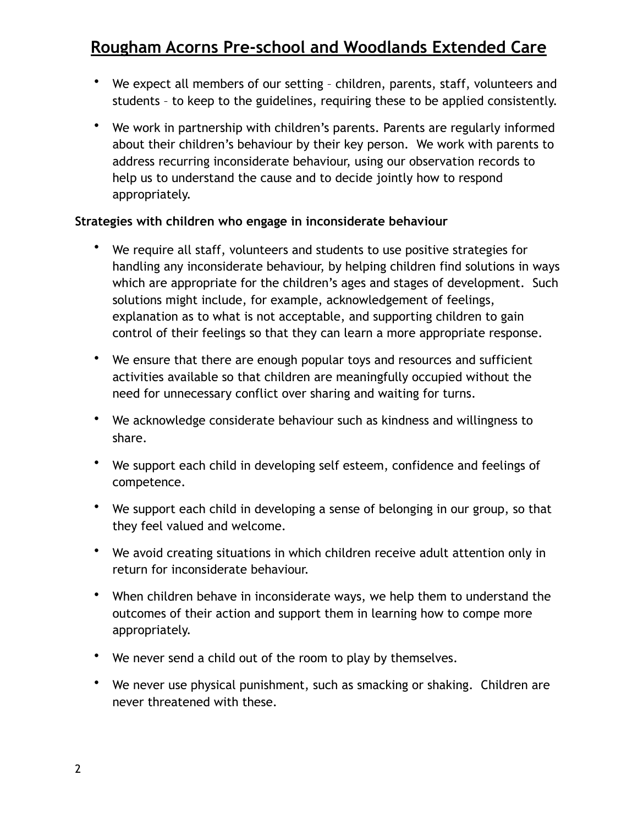- We expect all members of our setting children, parents, staff, volunteers and students – to keep to the guidelines, requiring these to be applied consistently.
- We work in partnership with children's parents. Parents are regularly informed about their children's behaviour by their key person. We work with parents to address recurring inconsiderate behaviour, using our observation records to help us to understand the cause and to decide jointly how to respond appropriately.

### **Strategies with children who engage in inconsiderate behaviour**

- We require all staff, volunteers and students to use positive strategies for handling any inconsiderate behaviour, by helping children find solutions in ways which are appropriate for the children's ages and stages of development. Such solutions might include, for example, acknowledgement of feelings, explanation as to what is not acceptable, and supporting children to gain control of their feelings so that they can learn a more appropriate response.
- We ensure that there are enough popular toys and resources and sufficient activities available so that children are meaningfully occupied without the need for unnecessary conflict over sharing and waiting for turns.
- We acknowledge considerate behaviour such as kindness and willingness to share.
- We support each child in developing self esteem, confidence and feelings of competence.
- We support each child in developing a sense of belonging in our group, so that they feel valued and welcome.
- We avoid creating situations in which children receive adult attention only in return for inconsiderate behaviour.
- When children behave in inconsiderate ways, we help them to understand the outcomes of their action and support them in learning how to compe more appropriately.
- We never send a child out of the room to play by themselves.
- We never use physical punishment, such as smacking or shaking. Children are never threatened with these.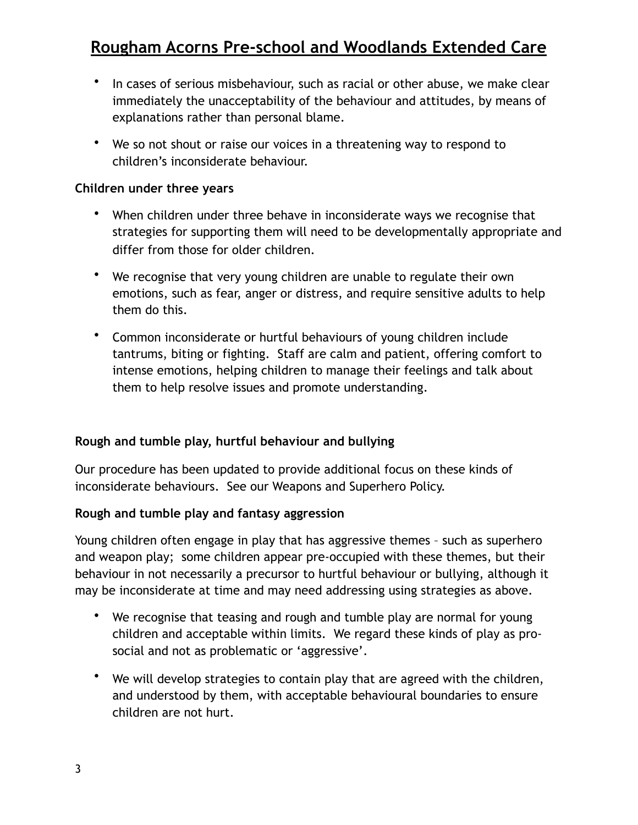- In cases of serious misbehaviour, such as racial or other abuse, we make clear immediately the unacceptability of the behaviour and attitudes, by means of explanations rather than personal blame.
- We so not shout or raise our voices in a threatening way to respond to children's inconsiderate behaviour.

#### **Children under three years**

- When children under three behave in inconsiderate ways we recognise that strategies for supporting them will need to be developmentally appropriate and differ from those for older children.
- We recognise that very young children are unable to regulate their own emotions, such as fear, anger or distress, and require sensitive adults to help them do this.
- Common inconsiderate or hurtful behaviours of young children include tantrums, biting or fighting. Staff are calm and patient, offering comfort to intense emotions, helping children to manage their feelings and talk about them to help resolve issues and promote understanding.

#### **Rough and tumble play, hurtful behaviour and bullying**

Our procedure has been updated to provide additional focus on these kinds of inconsiderate behaviours. See our Weapons and Superhero Policy.

#### **Rough and tumble play and fantasy aggression**

Young children often engage in play that has aggressive themes – such as superhero and weapon play; some children appear pre-occupied with these themes, but their behaviour in not necessarily a precursor to hurtful behaviour or bullying, although it may be inconsiderate at time and may need addressing using strategies as above.

- We recognise that teasing and rough and tumble play are normal for young children and acceptable within limits. We regard these kinds of play as prosocial and not as problematic or 'aggressive'.
- We will develop strategies to contain play that are agreed with the children, and understood by them, with acceptable behavioural boundaries to ensure children are not hurt.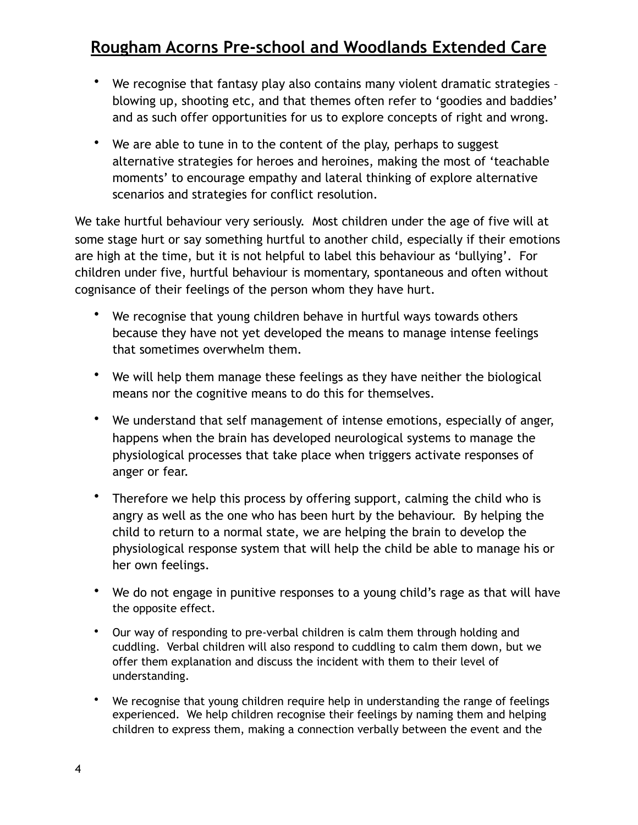- We recognise that fantasy play also contains many violent dramatic strategies blowing up, shooting etc, and that themes often refer to 'goodies and baddies' and as such offer opportunities for us to explore concepts of right and wrong.
- We are able to tune in to the content of the play, perhaps to suggest alternative strategies for heroes and heroines, making the most of 'teachable moments' to encourage empathy and lateral thinking of explore alternative scenarios and strategies for conflict resolution.

We take hurtful behaviour very seriously. Most children under the age of five will at some stage hurt or say something hurtful to another child, especially if their emotions are high at the time, but it is not helpful to label this behaviour as 'bullying'. For children under five, hurtful behaviour is momentary, spontaneous and often without cognisance of their feelings of the person whom they have hurt.

- We recognise that young children behave in hurtful ways towards others because they have not yet developed the means to manage intense feelings that sometimes overwhelm them.
- We will help them manage these feelings as they have neither the biological means nor the cognitive means to do this for themselves.
- We understand that self management of intense emotions, especially of anger, happens when the brain has developed neurological systems to manage the physiological processes that take place when triggers activate responses of anger or fear.
- Therefore we help this process by offering support, calming the child who is angry as well as the one who has been hurt by the behaviour. By helping the child to return to a normal state, we are helping the brain to develop the physiological response system that will help the child be able to manage his or her own feelings.
- We do not engage in punitive responses to a young child's rage as that will have the opposite effect.
- Our way of responding to pre-verbal children is calm them through holding and cuddling. Verbal children will also respond to cuddling to calm them down, but we offer them explanation and discuss the incident with them to their level of understanding.
- We recognise that young children require help in understanding the range of feelings experienced. We help children recognise their feelings by naming them and helping children to express them, making a connection verbally between the event and the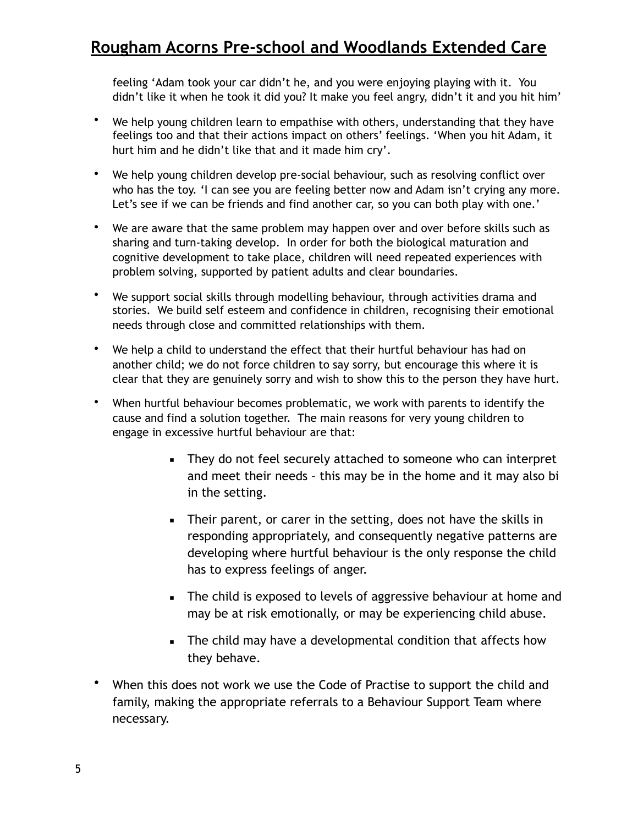feeling 'Adam took your car didn't he, and you were enjoying playing with it. You didn't like it when he took it did you? It make you feel angry, didn't it and you hit him'

- We help young children learn to empathise with others, understanding that they have feelings too and that their actions impact on others' feelings. 'When you hit Adam, it hurt him and he didn't like that and it made him cry'.
- We help young children develop pre-social behaviour, such as resolving conflict over who has the toy. 'I can see you are feeling better now and Adam isn't crying any more. Let's see if we can be friends and find another car, so you can both play with one.'
- We are aware that the same problem may happen over and over before skills such as sharing and turn-taking develop. In order for both the biological maturation and cognitive development to take place, children will need repeated experiences with problem solving, supported by patient adults and clear boundaries.
- We support social skills through modelling behaviour, through activities drama and stories. We build self esteem and confidence in children, recognising their emotional needs through close and committed relationships with them.
- We help a child to understand the effect that their hurtful behaviour has had on another child; we do not force children to say sorry, but encourage this where it is clear that they are genuinely sorry and wish to show this to the person they have hurt.
- When hurtful behaviour becomes problematic, we work with parents to identify the cause and find a solution together. The main reasons for very young children to engage in excessive hurtful behaviour are that:
	- They do not feel securely attached to someone who can interpret and meet their needs – this may be in the home and it may also bi in the setting.
	- **EXECT** Their parent, or carer in the setting, does not have the skills in responding appropriately, and consequently negative patterns are developing where hurtful behaviour is the only response the child has to express feelings of anger.
	- The child is exposed to levels of aggressive behaviour at home and may be at risk emotionally, or may be experiencing child abuse.
	- **EXECT** The child may have a developmental condition that affects how they behave.
- When this does not work we use the Code of Practise to support the child and family, making the appropriate referrals to a Behaviour Support Team where necessary.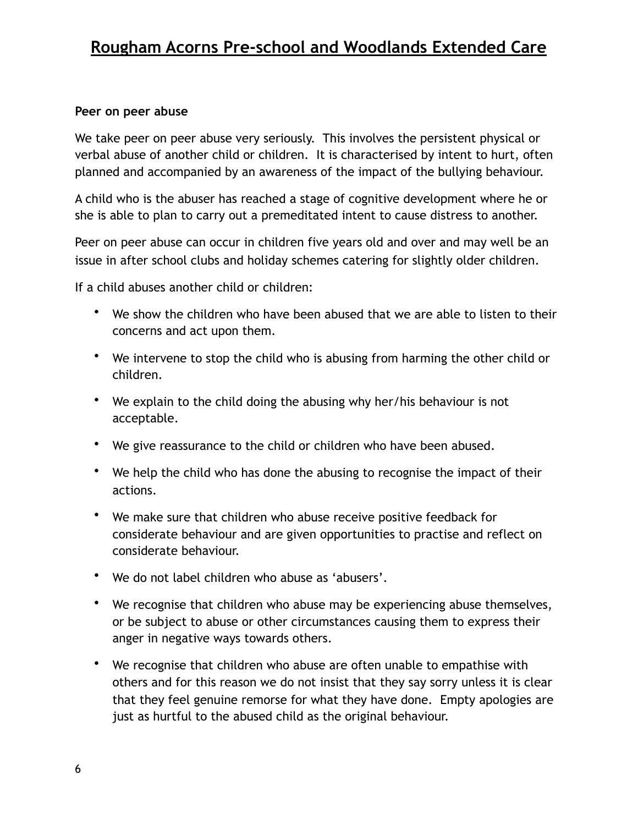#### **Peer on peer abuse**

We take peer on peer abuse very seriously. This involves the persistent physical or verbal abuse of another child or children. It is characterised by intent to hurt, often planned and accompanied by an awareness of the impact of the bullying behaviour.

A child who is the abuser has reached a stage of cognitive development where he or she is able to plan to carry out a premeditated intent to cause distress to another.

Peer on peer abuse can occur in children five years old and over and may well be an issue in after school clubs and holiday schemes catering for slightly older children.

If a child abuses another child or children:

- We show the children who have been abused that we are able to listen to their concerns and act upon them.
- We intervene to stop the child who is abusing from harming the other child or children.
- We explain to the child doing the abusing why her/his behaviour is not acceptable.
- We give reassurance to the child or children who have been abused.
- We help the child who has done the abusing to recognise the impact of their actions.
- We make sure that children who abuse receive positive feedback for considerate behaviour and are given opportunities to practise and reflect on considerate behaviour.
- We do not label children who abuse as 'abusers'.
- We recognise that children who abuse may be experiencing abuse themselves, or be subject to abuse or other circumstances causing them to express their anger in negative ways towards others.
- We recognise that children who abuse are often unable to empathise with others and for this reason we do not insist that they say sorry unless it is clear that they feel genuine remorse for what they have done. Empty apologies are just as hurtful to the abused child as the original behaviour.